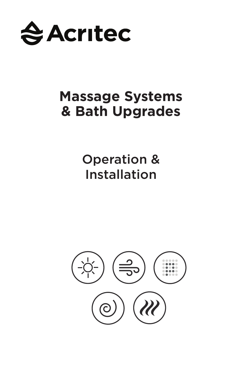

# **Massage Systems & Bath Upgrades**

Operation & Installation

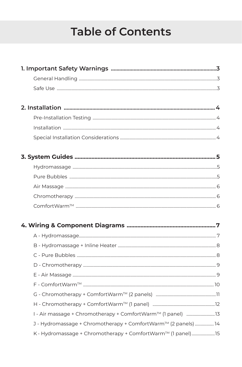# **Table of Contents**

| J - Hydromassage + Chromotherapy + ComfortWarm™ (2 panels)  14 |  |
|----------------------------------------------------------------|--|
| K - Hydromassage + Chromotherapy + ComfortWarm™ (1 panel)15    |  |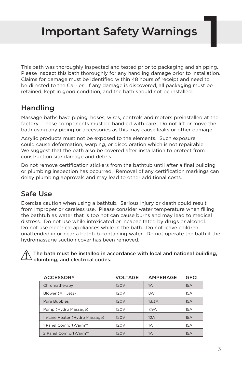# **Important Safety Warnings 1**

This bath was thoroughly inspected and tested prior to packaging and shipping. Please inspect this bath thoroughly for any handling damage prior to installation. Claims for damage must be identified within 48 hours of receipt and need to be directed to the Carrier. If any damage is discovered, all packaging must be retained, kept in good condition, and the bath should not be installed.

### **Handling**

Massage baths have piping, hoses, wires, controls and motors preinstalled at the factory. These components must be handled with care. Do not lift or move the bath using any piping or accessories as this may cause leaks or other damage.

Acrylic products must not be exposed to the elements. Such exposure could cause deformation, warping, or discoloration which is not repairable. We suggest that the bath also be covered after installation to protect from construction site damage and debris.

Do not remove certification stickers from the bathtub until after a final building or plumbing inspection has occurred. Removal of any certification markings can delay plumbing approvals and may lead to other additional costs.

### **Safe Use**

Exercise caution when using a bathtub. Serious Injury or death could result from improper or careless use. Please consider water temperature when filling the bathtub as water that is too hot can cause burns and may lead to medical distress. Do not use while intoxicated or incapacitated by drugs or alcohol. Do not use electrical appliances while in the bath. Do not leave children unattended in or near a bathtub containing water. Do not operate the bath if the hydromassage suction cover has been removed.

 The bath must be installed in accordance with local and national building, plumbing, and electrical codes.

| <b>ACCESSORY</b>               | VOLTAGE          | <b>AMPERAGE</b> | <b>GFCI</b> |
|--------------------------------|------------------|-----------------|-------------|
| Chromatherapy                  | 120 <sub>V</sub> | 1A              | 15A         |
| Blower (Air Jets)              | 120V             | 8A              | 15A         |
| Pure Bubbles                   | 120 <sub>V</sub> | 13.3A           | 15A         |
| Pump (Hydro Massage)           | 120V             | 7.9A            | 15A         |
| In-Line Heater (Hydro Massage) | 120 <sub>V</sub> | 12A             | 15A         |
| 1 Panel ComfortWarm™           | 120 <sub>V</sub> | 1A              | 15A         |
| 2 Panel ComfortWarm™           | <b>120V</b>      | 1A              | 15A         |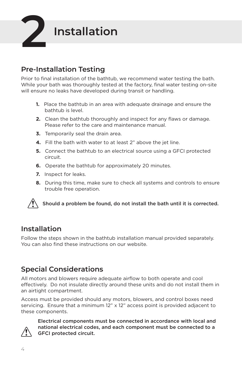

#### **Pre-Installation Testing**

Prior to final installation of the bathtub, we recommend water testing the bath. While your bath was thoroughly tested at the factory, final water testing on-site will ensure no leaks have developed during transit or handling.

- **1.** Place the bathtub in an area with adequate drainage and ensure the bathtub is level.
- **2.** Clean the bathtub thoroughly and inspect for any flaws or damage. Please refer to the care and maintenance manual.
- **3.** Temporarily seal the drain area.
- **4.** Fill the bath with water to at least 2" above the jet line.
- **5.** Connect the bathtub to an electrical source using a GFCI protected circuit.
- **6.** Operate the bathtub for approximately 20 minutes.
- **7.** Inspect for leaks.
- **8.** During this time, make sure to check all systems and controls to ensure trouble free operation.



Should a problem be found, do not install the bath until it is corrected.

#### **Installation**

Follow the steps shown in the bathtub installation manual provided separately. You can also find these instructions on our website.

#### **Special Considerations**

All motors and blowers require adequate airflow to both operate and cool effectively. Do not insulate directly around these units and do not install them in an airtight compartment.

Access must be provided should any motors, blowers, and control boxes need servicing. Ensure that a minimum 12" x 12" access point is provided adjacent to these components.



Electrical components must be connected in accordance with local and national electrical codes, and each component must be connected to a GFCI protected circuit.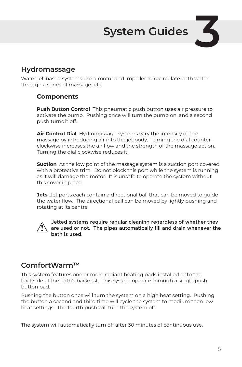# **System Guides**

#### **Hydromassage**

Water jet-based systems use a motor and impeller to recirculate bath water through a series of massage jets.

#### **Components**

**Push Button Control** This pneumatic push button uses air pressure to activate the pump. Pushing once will turn the pump on, and a second push turns it off.

**Air Control Dial** Hydromassage systems vary the intensity of the massage by introducing air into the jet body. Turning the dial counterclockwise increases the air flow and the strength of the massage action. Turning the dial clockwise reduces it.

**Suction** At the low point of the massage system is a suction port covered with a protective trim. Do not block this port while the system is running as it will damage the motor. It is unsafe to operate the system without this cover in place.

**Jets** Jet ports each contain a directional ball that can be moved to guide the water flow. The directional ball can be moved by lightly pushing and rotating at its centre.



Jetted systems require regular cleaning regardless of whether they are used or not. The pipes automatically fill and drain whenever the bath is used.

#### **ComfortWarmTM**

This system features one or more radiant heating pads installed onto the backside of the bath's backrest. This system operate through a single push button pad.

Pushing the button once will turn the system on a high heat setting. Pushing the button a second and third time will cycle the system to medium then low heat settings. The fourth push will turn the system off.

The system will automatically turn off after 30 minutes of continuous use.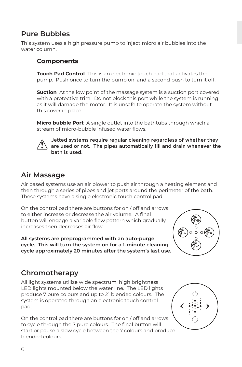#### **Pure Bubbles**

This system uses a high pressure pump to inject micro air bubbles into the water column.

#### **Components**

**Touch Pad Control** This is an electronic touch pad that activates the pump. Push once to turn the pump on, and a second push to turn it off.

**Suction** At the low point of the massage system is a suction port covered with a protective trim. Do not block this port while the system is running as it will damage the motor. It is unsafe to operate the system without this cover in place.

**Micro bubble Port** A single outlet into the bathtubs through which a stream of micro-bubble infused water flows.



Jetted systems require regular cleaning regardless of whether they are used or not. The pipes automatically fill and drain whenever the bath is used.

#### **Air Massage**

Air based systems use an air blower to push air through a heating element and then through a series of pipes and jet ports around the perimeter of the bath. These systems have a single electronic touch control pad.

On the control pad there are buttons for on / off and arrows to either increase or decrease the air volume. A final button will engage a variable flow pattern which gradually increases then decreases air flow.

**All systems are preprogrammed with an auto-purge cycle. This will turn the system on for a 1-minute cleaning cycle approximately 20 minutes after the system's last use.**



### **Chromotherapy**

All light systems utilize wide spectrum, high brightness LED lights mounted below the water line. The LED lights produce 7 pure colours and up to 21 blended colours. The system is operated through an electronic touch control pad.

On the control pad there are buttons for on / off and arrows to cycle through the 7 pure colours. The final button will start or pause a slow cycle between the 7 colours and produce blended colours.

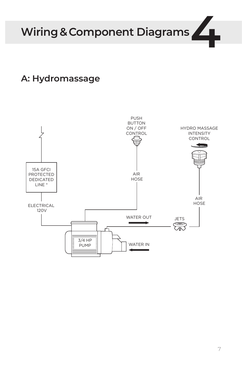Wiring & Component Diagrams

## **A: Hydromassage**

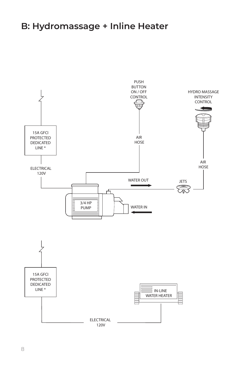## **B: Hydromassage + Inline Heater**

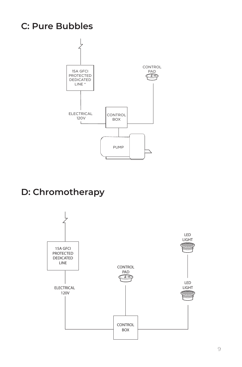## **C: Pure Bubbles**



## **D: Chromotherapy**

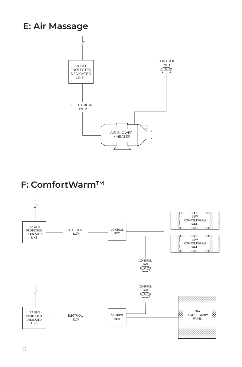## **E: Air Massage**



## **F: ComfortWarmTM**

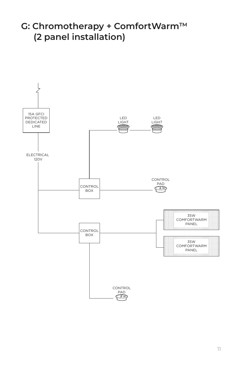## **G: Chromotherapy + ComfortWarmTM (2 panel installation)**

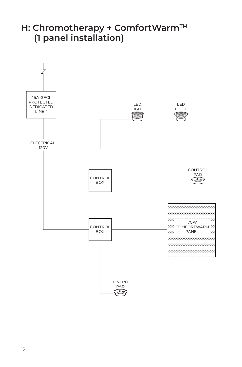## **H: Chromotherapy + ComfortWarmTM (1 panel installation)**

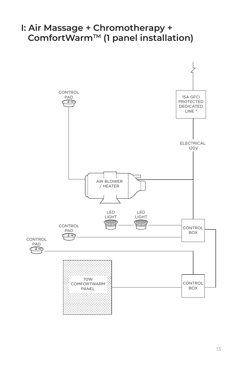### **I: Air Massage + Chromotherapy + ComfortWarmTM (1 panel installation)**

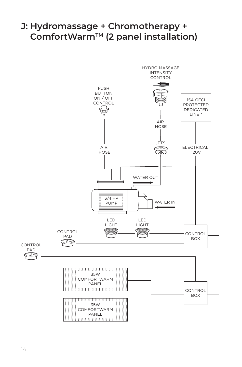## **J: Hydromassage + Chromotherapy + ComfortWarmTM (2 panel installation)**

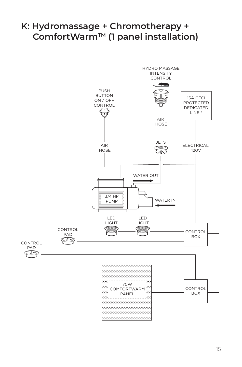## **K: Hydromassage + Chromotherapy +** ComfortWarm<sup>™</sup> (1 panel installation)